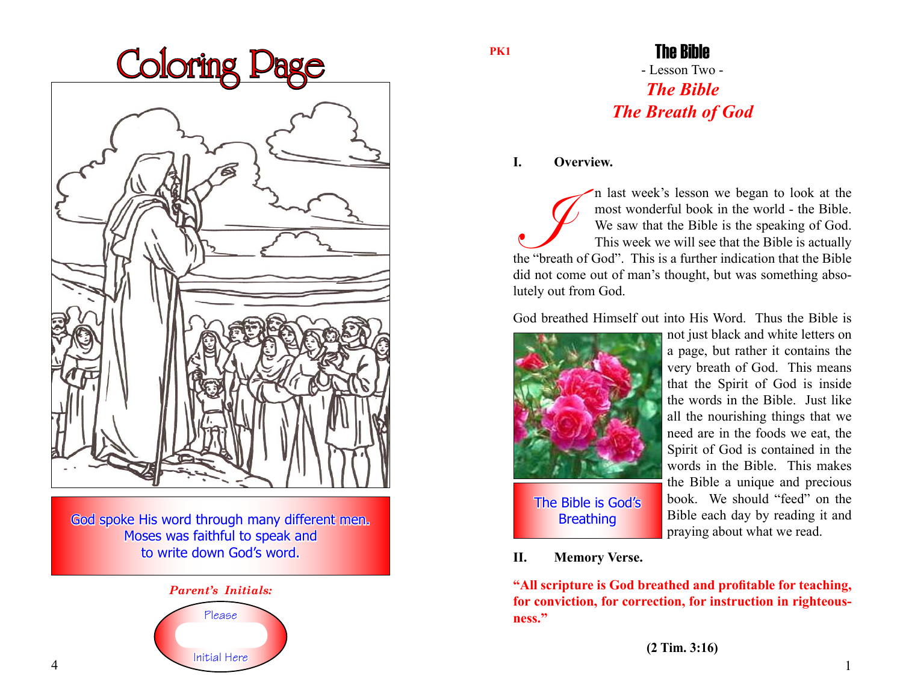

God spoke His word through many different men. Moses was faithful to speak and to write down God's word.



**PK1**

# - Lesson Two - *The Bible The Breath of God* The Bible

## **I. Overview.**

I n last week's lesson we began to look at the most wonderful book in the world - the Bible.<br>
We saw that the Bible is the speaking of God.<br>
This week we will see that the Bible is actually<br>
the "breath of God". This is a most wonderful book in the world - the Bible. We saw that the Bible is the speaking of God. This week we will see that the Bible is actually did not come out of man's thought, but was something absolutely out from God.

God breathed Himself out into His Word. Thus the Bible is



not just black and white letters on a page, but rather it contains the very breath of God. This means that the Spirit of God is inside the words in the Bible. Just like all the nourishing things that we need are in the foods we eat, the Spirit of God is contained in the words in the Bible. This makes the Bible a unique and precious book. We should "feed" on the Bible each day by reading it and praying about what we read.

**II. Memory Verse.**

**"All scripture is God breathed and profitable for teaching, for conviction, for correction, for instruction in righteousness."**